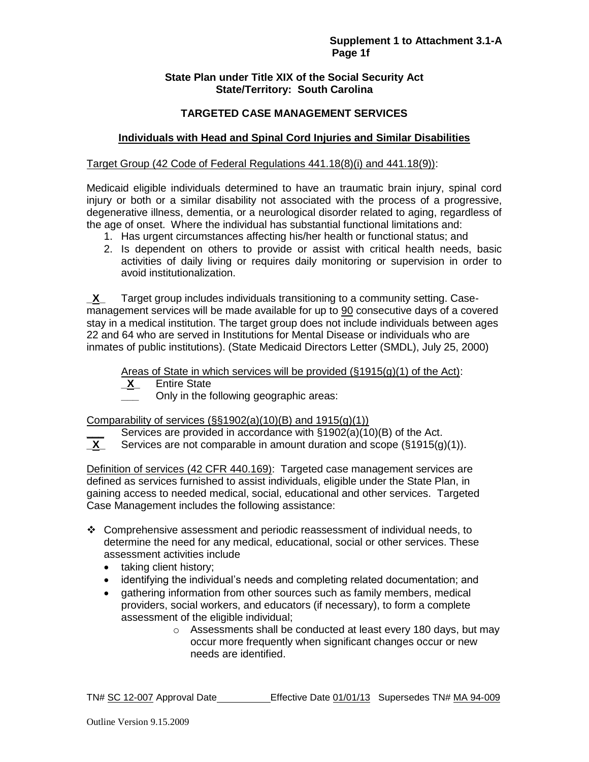### **State Plan under Title XIX of the Social Security Act State/Territory: South Carolina**

# **TARGETED CASE MANAGEMENT SERVICES**

## **Individuals with Head and Spinal Cord Injuries and Similar Disabilities**

### Target Group (42 Code of Federal Regulations 441.18(8)(i) and 441.18(9)):

Medicaid eligible individuals determined to have an traumatic brain injury, spinal cord injury or both or a similar disability not associated with the process of a progressive, degenerative illness, dementia, or a neurological disorder related to aging, regardless of the age of onset. Where the individual has substantial functional limitations and:

- 1. Has urgent circumstances affecting his/her health or functional status; and
- 2. Is dependent on others to provide or assist with critical health needs, basic activities of daily living or requires daily monitoring or supervision in order to avoid institutionalization.

**\_X\_** Target group includes individuals transitioning to a community setting. Casemanagement services will be made available for up to 90 consecutive days of a covered stay in a medical institution. The target group does not include individuals between ages 22 and 64 who are served in Institutions for Mental Disease or individuals who are inmates of public institutions). (State Medicaid Directors Letter (SMDL), July 25, 2000)

Areas of State in which services will be provided  $(\S 1915(q)(1)$  of the Act):

- **\_X\_** Entire State
- **\_\_\_** Only in the following geographic areas:

Comparability of services  $(\S\S1902(a)(10)(B)$  and  $1915(g)(1))$ 

Services are provided in accordance with §1902(a)(10)(B) of the Act.

**\_X\_** Services are not comparable in amount duration and scope (§1915(g)(1)).

Definition of services (42 CFR 440.169): Targeted case management services are defined as services furnished to assist individuals, eligible under the State Plan, in gaining access to needed medical, social, educational and other services. Targeted Case Management includes the following assistance:

- Comprehensive assessment and periodic reassessment of individual needs, to determine the need for any medical, educational, social or other services. These assessment activities include
	- taking client history;
	- identifying the individual's needs and completing related documentation; and
	- gathering information from other sources such as family members, medical providers, social workers, and educators (if necessary), to form a complete assessment of the eligible individual;
		- o Assessments shall be conducted at least every 180 days, but may occur more frequently when significant changes occur or new needs are identified.

TN# SC 12-007 Approval Date Effective Date 01/01/13 Supersedes TN# MA 94-009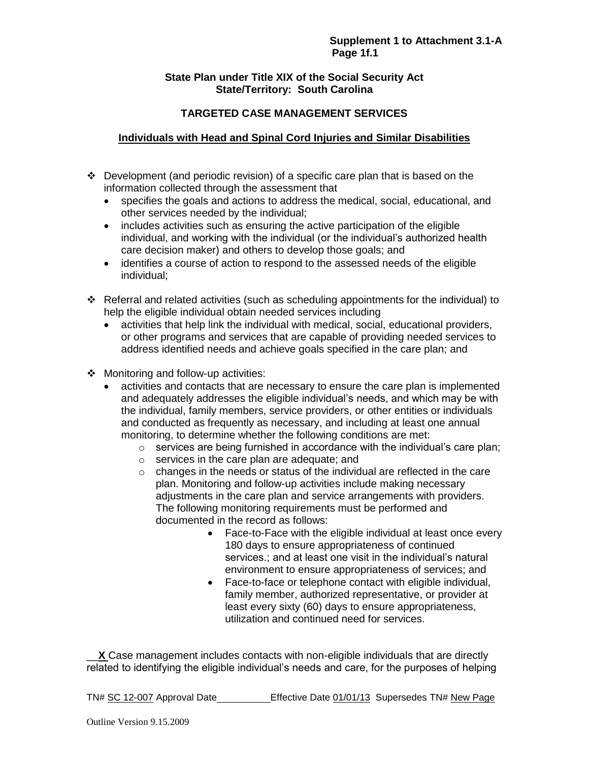### **State Plan under Title XIX of the Social Security Act State/Territory: South Carolina**

# **TARGETED CASE MANAGEMENT SERVICES**

# **Individuals with Head and Spinal Cord Injuries and Similar Disabilities**

- $\div$  Development (and periodic revision) of a specific care plan that is based on the information collected through the assessment that
	- specifies the goals and actions to address the medical, social, educational, and other services needed by the individual;
	- includes activities such as ensuring the active participation of the eligible individual, and working with the individual (or the individual's authorized health care decision maker) and others to develop those goals; and
	- identifies a course of action to respond to the assessed needs of the eligible individual;
- Referral and related activities (such as scheduling appointments for the individual) to help the eligible individual obtain needed services including
	- activities that help link the individual with medical, social, educational providers, or other programs and services that are capable of providing needed services to address identified needs and achieve goals specified in the care plan; and
- ❖ Monitoring and follow-up activities:
	- activities and contacts that are necessary to ensure the care plan is implemented and adequately addresses the eligible individual's needs, and which may be with the individual, family members, service providers, or other entities or individuals and conducted as frequently as necessary, and including at least one annual monitoring, to determine whether the following conditions are met:
		- $\circ$  services are being furnished in accordance with the individual's care plan;
		- o services in the care plan are adequate; and
		- o changes in the needs or status of the individual are reflected in the care plan. Monitoring and follow-up activities include making necessary adjustments in the care plan and service arrangements with providers. The following monitoring requirements must be performed and documented in the record as follows:
			- Face-to-Face with the eligible individual at least once every 180 days to ensure appropriateness of continued services.; and at least one visit in the individual's natural environment to ensure appropriateness of services; and
			- Face-to-face or telephone contact with eligible individual, family member, authorized representative, or provider at least every sixty (60) days to ensure appropriateness, utilization and continued need for services.

\_\_**X** Case management includes contacts with non-eligible individuals that are directly related to identifying the eligible individual's needs and care, for the purposes of helping

TN# SC 12-007 Approval Date \_\_\_\_\_\_\_\_\_\_\_\_\_Effective Date 01/01/13 Supersedes TN# New Page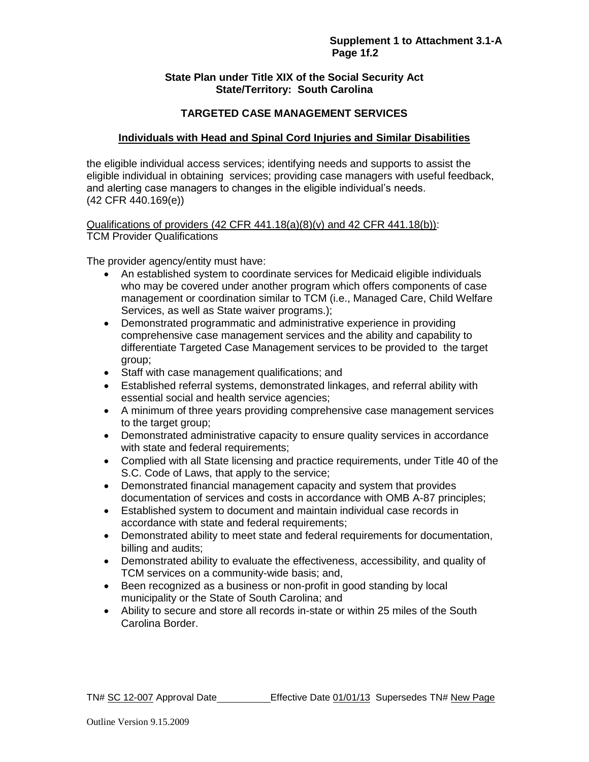### **State Plan under Title XIX of the Social Security Act State/Territory: South Carolina**

## **TARGETED CASE MANAGEMENT SERVICES**

## **Individuals with Head and Spinal Cord Injuries and Similar Disabilities**

the eligible individual access services; identifying needs and supports to assist the eligible individual in obtaining services; providing case managers with useful feedback, and alerting case managers to changes in the eligible individual's needs. (42 CFR 440.169(e))

Qualifications of providers (42 CFR 441.18(a)(8)(v) and 42 CFR 441.18(b)): TCM Provider Qualifications

The provider agency/entity must have:

- An established system to coordinate services for Medicaid eligible individuals who may be covered under another program which offers components of case management or coordination similar to TCM (i.e., Managed Care, Child Welfare Services, as well as State waiver programs.);
- Demonstrated programmatic and administrative experience in providing comprehensive case management services and the ability and capability to differentiate Targeted Case Management services to be provided to the target group;
- Staff with case management qualifications; and
- Established referral systems, demonstrated linkages, and referral ability with essential social and health service agencies;
- A minimum of three years providing comprehensive case management services to the target group;
- Demonstrated administrative capacity to ensure quality services in accordance with state and federal requirements;
- Complied with all State licensing and practice requirements, under Title 40 of the S.C. Code of Laws, that apply to the service;
- Demonstrated financial management capacity and system that provides documentation of services and costs in accordance with OMB A-87 principles;
- Established system to document and maintain individual case records in accordance with state and federal requirements;
- Demonstrated ability to meet state and federal requirements for documentation, billing and audits;
- Demonstrated ability to evaluate the effectiveness, accessibility, and quality of TCM services on a community-wide basis; and,
- Been recognized as a business or non-profit in good standing by local municipality or the State of South Carolina; and
- Ability to secure and store all records in-state or within 25 miles of the South Carolina Border.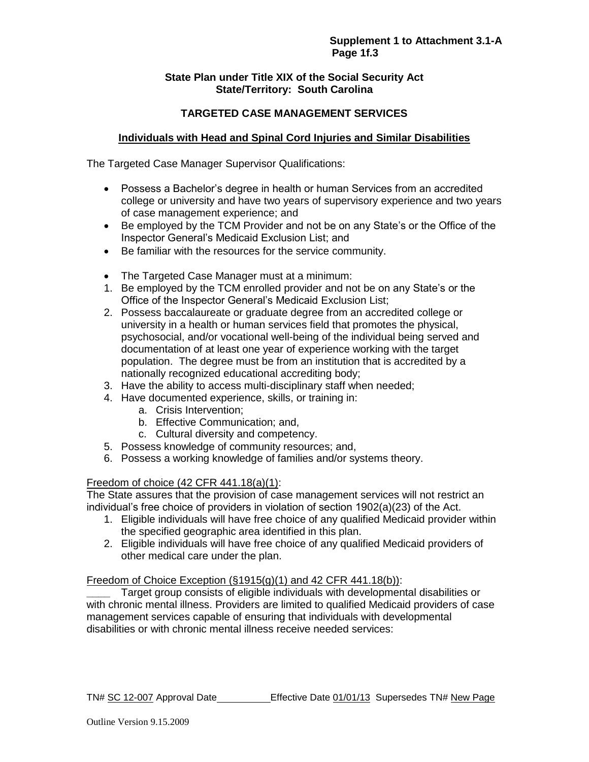### **State Plan under Title XIX of the Social Security Act State/Territory: South Carolina**

# **TARGETED CASE MANAGEMENT SERVICES**

# **Individuals with Head and Spinal Cord Injuries and Similar Disabilities**

The Targeted Case Manager Supervisor Qualifications:

- Possess a Bachelor's degree in health or human Services from an accredited college or university and have two years of supervisory experience and two years of case management experience; and
- Be employed by the TCM Provider and not be on any State's or the Office of the Inspector General's Medicaid Exclusion List; and
- Be familiar with the resources for the service community.
- The Targeted Case Manager must at a minimum:
- 1. Be employed by the TCM enrolled provider and not be on any State's or the Office of the Inspector General's Medicaid Exclusion List;
- 2. Possess baccalaureate or graduate degree from an accredited college or university in a health or human services field that promotes the physical, psychosocial, and/or vocational well-being of the individual being served and documentation of at least one year of experience working with the target population. The degree must be from an institution that is accredited by a nationally recognized educational accrediting body;
- 3. Have the ability to access multi-disciplinary staff when needed;
- 4. Have documented experience, skills, or training in:
	- a. Crisis Intervention;
	- b. Effective Communication; and,
	- c. Cultural diversity and competency.
- 5. Possess knowledge of community resources; and,
- 6. Possess a working knowledge of families and/or systems theory.

#### Freedom of choice (42 CFR 441.18(a)(1):

The State assures that the provision of case management services will not restrict an individual's free choice of providers in violation of section 1902(a)(23) of the Act.

- 1. Eligible individuals will have free choice of any qualified Medicaid provider within the specified geographic area identified in this plan.
- 2. Eligible individuals will have free choice of any qualified Medicaid providers of other medical care under the plan.

#### Freedom of Choice Exception  $(\S1915(q)(1)$  and 42 CFR 441.18(b)):

**\_\_\_\_** Target group consists of eligible individuals with developmental disabilities or with chronic mental illness. Providers are limited to qualified Medicaid providers of case management services capable of ensuring that individuals with developmental disabilities or with chronic mental illness receive needed services: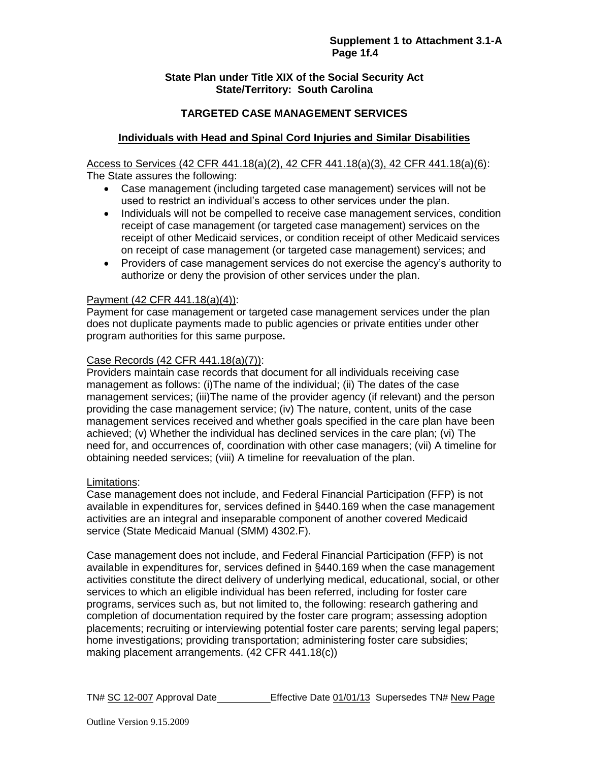### **State Plan under Title XIX of the Social Security Act State/Territory: South Carolina**

## **TARGETED CASE MANAGEMENT SERVICES**

### **Individuals with Head and Spinal Cord Injuries and Similar Disabilities**

Access to Services (42 CFR 441.18(a)(2), 42 CFR 441.18(a)(3), 42 CFR 441.18(a)(6): The State assures the following:

- Case management (including targeted case management) services will not be used to restrict an individual's access to other services under the plan.
- Individuals will not be compelled to receive case management services, condition receipt of case management (or targeted case management) services on the receipt of other Medicaid services, or condition receipt of other Medicaid services on receipt of case management (or targeted case management) services; and
- Providers of case management services do not exercise the agency's authority to authorize or deny the provision of other services under the plan.

#### Payment (42 CFR 441.18(a)(4)):

Payment for case management or targeted case management services under the plan does not duplicate payments made to public agencies or private entities under other program authorities for this same purpose**.** 

# Case Records (42 CFR 441.18(a)(7)):

Providers maintain case records that document for all individuals receiving case management as follows: (i)The name of the individual; (ii) The dates of the case management services; (iii)The name of the provider agency (if relevant) and the person providing the case management service; (iv) The nature, content, units of the case management services received and whether goals specified in the care plan have been achieved; (v) Whether the individual has declined services in the care plan; (vi) The need for, and occurrences of, coordination with other case managers; (vii) A timeline for obtaining needed services; (viii) A timeline for reevaluation of the plan.

#### Limitations:

Case management does not include, and Federal Financial Participation (FFP) is not available in expenditures for, services defined in §440.169 when the case management activities are an integral and inseparable component of another covered Medicaid service (State Medicaid Manual (SMM) 4302.F).

Case management does not include, and Federal Financial Participation (FFP) is not available in expenditures for, services defined in §440.169 when the case management activities constitute the direct delivery of underlying medical, educational, social, or other services to which an eligible individual has been referred, including for foster care programs, services such as, but not limited to, the following: research gathering and completion of documentation required by the foster care program; assessing adoption placements; recruiting or interviewing potential foster care parents; serving legal papers; home investigations; providing transportation; administering foster care subsidies; making placement arrangements. (42 CFR 441.18(c))

TN# SC 12-007 Approval Date **Effective Date 01/01/13** Supersedes TN# New Page